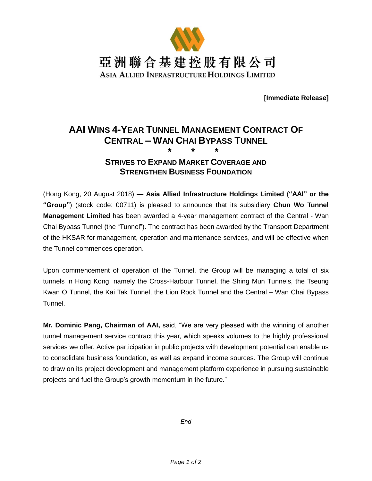

**[Immediate Release]**

## **AAI WINS 4-YEAR TUNNEL MANAGEMENT CONTRACT OF CENTRAL – WAN CHAI BYPASS TUNNEL \* \* \***

## **STRIVES TO EXPAND MARKET COVERAGE AND STRENGTHEN BUSINESS FOUNDATION**

(Hong Kong, 20 August 2018) — **Asia Allied Infrastructure Holdings Limited** (**"AAI" or the "Group"**) (stock code: 00711) is pleased to announce that its subsidiary **Chun Wo Tunnel Management Limited** has been awarded a 4-year management contract of the Central - Wan Chai Bypass Tunnel (the "Tunnel"). The contract has been awarded by the Transport Department of the HKSAR for management, operation and maintenance services, and will be effective when the Tunnel commences operation.

Upon commencement of operation of the Tunnel, the Group will be managing a total of six tunnels in Hong Kong, namely the Cross-Harbour Tunnel, the Shing Mun Tunnels, the Tseung Kwan O Tunnel, the Kai Tak Tunnel, the Lion Rock Tunnel and the Central – Wan Chai Bypass Tunnel.

**Mr. Dominic Pang, Chairman of AAI,** said, "We are very pleased with the winning of another tunnel management service contract this year, which speaks volumes to the highly professional services we offer. Active participation in public projects with development potential can enable us to consolidate business foundation, as well as expand income sources. The Group will continue to draw on its project development and management platform experience in pursuing sustainable projects and fuel the Group's growth momentum in the future."

*- End -*